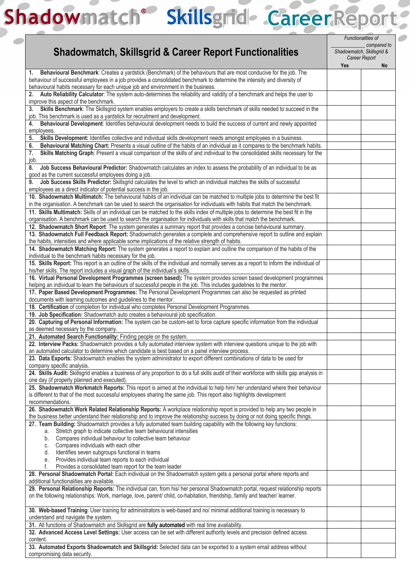## Shadowmatch® Skillsgrid- Career Report

|                                                                                                                                            |                                          | Functionalities of |  |  |
|--------------------------------------------------------------------------------------------------------------------------------------------|------------------------------------------|--------------------|--|--|
|                                                                                                                                            | compared to<br>Shadowmatch, Skillsgrid & |                    |  |  |
| <b>Shadowmatch, Skillsgrid &amp; Career Report Functionalities</b>                                                                         | Career Report                            |                    |  |  |
|                                                                                                                                            | Yes                                      | No                 |  |  |
| Behavioural Benchmark: Creates a yardstick (Benchmark) of the behaviours that are most conducive for the job. The<br>1.                    |                                          |                    |  |  |
| behaviour of successful employees in a job provides a consolidated benchmark to determine the intensity and diversity of                   |                                          |                    |  |  |
| behavioural habits necessary for each unique job and environment in the business.                                                          |                                          |                    |  |  |
| Auto Reliability Calculator: The system auto-determines the reliability and validity of a benchmark and helps the user to<br>2.            |                                          |                    |  |  |
| improve this aspect of the benchmark.                                                                                                      |                                          |                    |  |  |
| Skills Benchmark: The Skillsgrid system enables employers to create a skills benchmark of skills needed to succeed in the<br>3.            |                                          |                    |  |  |
| job. This benchmark is used as a yardstick for recruitment and development.                                                                |                                          |                    |  |  |
| Behavioural Development: Identifies behavioural development needs to build the success of current and newly appointed<br>4.                |                                          |                    |  |  |
| employees.                                                                                                                                 |                                          |                    |  |  |
| Skills Development: Identifies collective and individual skills development needs amongst employees in a business.<br>5.                   |                                          |                    |  |  |
|                                                                                                                                            |                                          |                    |  |  |
| Behavioural Matching Chart: Presents a visual outline of the habits of an individual as it compares to the benchmark habits.<br>6.         |                                          |                    |  |  |
| Skills Matching Graph: Present a visual comparison of the skills of and individual to the consolidated skills necessary for the<br>7.      |                                          |                    |  |  |
| job.                                                                                                                                       |                                          |                    |  |  |
| Job Success Behavioural Predictor: Shadowmatch calculates an index to assess the probability of an individual to be as<br>8.               |                                          |                    |  |  |
| good as the current successful employees doing a job.                                                                                      |                                          |                    |  |  |
| Job Success Skills Predictor: Skillsgrid calculates the level to which an individual matches the skills of successful<br>9.                |                                          |                    |  |  |
| employees as a direct indicator of potential success in the job.                                                                           |                                          |                    |  |  |
| 10. Shadowmatch Multimatch: The behavioural habits of an individual can be matched to multiple jobs to determine the best fit              |                                          |                    |  |  |
| in the organisation. A benchmark can be used to search the organisation for individuals with habits that match the benchmark.              |                                          |                    |  |  |
| 11. Skills Multimatch: Skills of an individual can be matched to the skills index of multiple jobs to determine the best fit in the        |                                          |                    |  |  |
| organisation. A benchmark can be used to search the organisation for individuals with skills that match the benchmark.                     |                                          |                    |  |  |
| 12. Shadowmatch Short Report: The system generates a summary report that provides a concise behavioural summary.                           |                                          |                    |  |  |
| 13. Shadowmatch Full Feedback Report: Shadowmatch generates a complete and comprehensive report to outline and explain                     |                                          |                    |  |  |
| the habits, intensities and where applicable some implications of the relative strength of habits.                                         |                                          |                    |  |  |
| 14. Shadowmatch Matching Report: The system generates a report to explain and outline the comparison of the habits of the                  |                                          |                    |  |  |
| individual to the benchmark habits necessary for the job.                                                                                  |                                          |                    |  |  |
| 15. Skills Report: This report is an outline of the skills of the individual and normally serves as a report to inform the individual of   |                                          |                    |  |  |
| his/her skills. The report includes a visual graph of the individual's skills.                                                             |                                          |                    |  |  |
| 16. Virtual Personal Development Programmes (screen based): The system provides screen based development programmes                        |                                          |                    |  |  |
| helping an individual to learn the behaviours of successful people in the job. This includes guidelines to the mentor.                     |                                          |                    |  |  |
|                                                                                                                                            |                                          |                    |  |  |
| 17. Paper Based Development Programmes: The Personal Development Programmes can also be requested as printed                               |                                          |                    |  |  |
| documents with learning outcomes and guidelines to the mentor.                                                                             |                                          |                    |  |  |
| 18. Certification of completion for individual who completes Personal Development Programmes.                                              |                                          |                    |  |  |
| 19. Job Specification: Shadowmatch auto creates a behavioural job specification.                                                           |                                          |                    |  |  |
| 20. Capturing of Personal Information: The system can be custom-set to force capture specific information from the individual              |                                          |                    |  |  |
| as deemed necessary by the company.                                                                                                        |                                          |                    |  |  |
| 21. Automated Search Functionality: Finding people on the system.                                                                          |                                          |                    |  |  |
| 22. Interview Packs: Shadowmatch provides a fully automated interview system with interview questions unique to the job with               |                                          |                    |  |  |
| an automated calculator to determine which candidate is best based on a panel interview process.                                           |                                          |                    |  |  |
| 23. Data Exports: Shadowmatch enables the system administrator to export different combinations of data to be used for                     |                                          |                    |  |  |
| company specific analysis.                                                                                                                 |                                          |                    |  |  |
| 24. Skills Audit: Skillsgrid enables a business of any proportion to do a full skills audit of their workforce with skills gap analysis in |                                          |                    |  |  |
| one day (if properly planned and executed).                                                                                                |                                          |                    |  |  |
| 25. Shadowmatch Workmatch Reports: This report is aimed at the individual to help him/ her understand where their behaviour                |                                          |                    |  |  |
| is different to that of the most successful employees sharing the same job. This report also highlights development                        |                                          |                    |  |  |
| recommendations.                                                                                                                           |                                          |                    |  |  |
| 26. Shadowmatch Work Related Relationship Reports: A workplace relationship report is provided to help any two people in                   |                                          |                    |  |  |
| the business better understand their relationship and to improve the relationship success by doing or not doing specific things.           |                                          |                    |  |  |
| 27. Team Building: Shadowmatch provides a fully automated team building capability with the following key functions:                       |                                          |                    |  |  |
| Stretch graph to indicate collective team behavioural intensities<br>а.                                                                    |                                          |                    |  |  |
| Compares individual behaviour to collective team behaviour<br>b.                                                                           |                                          |                    |  |  |
| Compares individuals with each other<br>C.                                                                                                 |                                          |                    |  |  |
| Identifies seven subgroups functional in teams<br>d.                                                                                       |                                          |                    |  |  |
| Provides individual team reports to each individual<br>е.                                                                                  |                                          |                    |  |  |
| Provides a consolidated team report for the team leader                                                                                    |                                          |                    |  |  |
| 28. Personal Shadowmatch Portal: Each individual on the Shadowmatch system gets a personal portal where reports and                        |                                          |                    |  |  |
| additional functionalities are available.                                                                                                  |                                          |                    |  |  |
| 29. Personal Relationship Reports: The individual can, from his/ her personal Shadowmatch portal, request relationship reports             |                                          |                    |  |  |
| on the following relationships: Work, marriage, love, parent/ child, co-habitation, friendship, family and teacher/ learner.               |                                          |                    |  |  |
|                                                                                                                                            |                                          |                    |  |  |
|                                                                                                                                            |                                          |                    |  |  |
| 30. Web-based Training: User training for administrators is web-based and no/minimal additional training is necessary to                   |                                          |                    |  |  |
| understand and navigate the system.                                                                                                        |                                          |                    |  |  |
| 31. All functions of Shadowmatch and Skillsgrid are fully automated with real time availability.                                           |                                          |                    |  |  |
| 32. Advanced Access Level Settings: User access can be set with different authority levels and precision defined access                    |                                          |                    |  |  |
| content.                                                                                                                                   |                                          |                    |  |  |
| 33. Automated Exports Shadowmatch and Skillsgrid: Selected data can be exported to a system email address without                          |                                          |                    |  |  |
| compromising data security.                                                                                                                |                                          |                    |  |  |